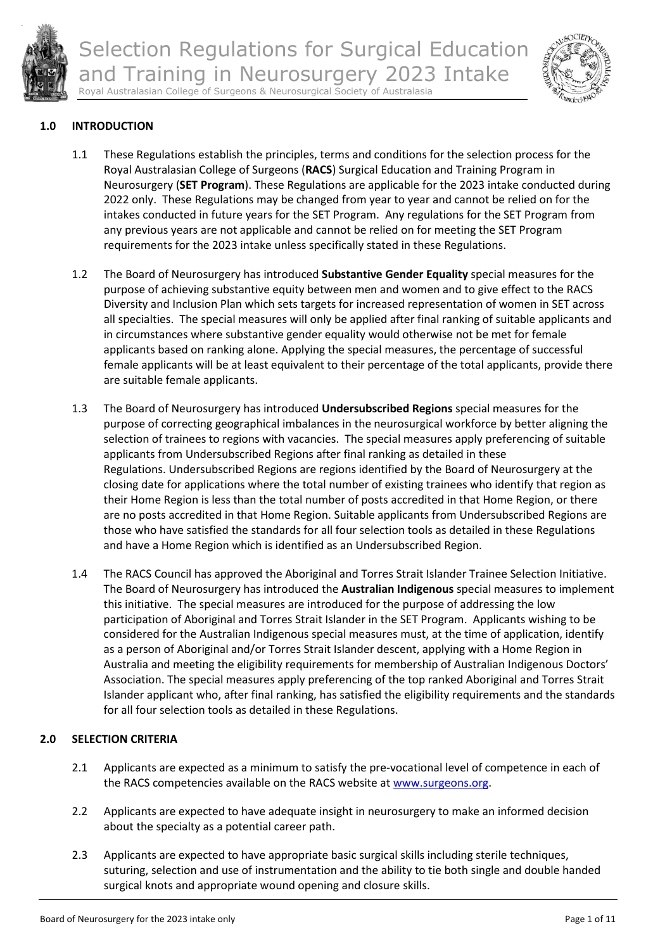



### **1.0 INTRODUCTION**

- 1.1 These Regulations establish the principles, terms and conditions for the selection process for the Royal Australasian College of Surgeons (**RACS**) Surgical Education and Training Program in Neurosurgery (**SET Program**). These Regulations are applicable for the 2023 intake conducted during 2022 only. These Regulations may be changed from year to year and cannot be relied on for the intakes conducted in future years for the SET Program. Any regulations for the SET Program from any previous years are not applicable and cannot be relied on for meeting the SET Program requirements for the 2023 intake unless specifically stated in these Regulations.
- 1.2 The Board of Neurosurgery has introduced **Substantive Gender Equality** special measures for the purpose of achieving substantive equity between men and women and to give effect to the RACS Diversity and Inclusion Plan which sets targets for increased representation of women in SET across all specialties. The special measures will only be applied after final ranking of suitable applicants and in circumstances where substantive gender equality would otherwise not be met for female applicants based on ranking alone. Applying the special measures, the percentage of successful female applicants will be at least equivalent to their percentage of the total applicants, provide there are suitable female applicants.
- 1.3 The Board of Neurosurgery has introduced **Undersubscribed Regions** special measures for the purpose of correcting geographical imbalances in the neurosurgical workforce by better aligning the selection of trainees to regions with vacancies. The special measures apply preferencing of suitable applicants from Undersubscribed Regions after final ranking as detailed in these Regulations. Undersubscribed Regions are regions identified by the Board of Neurosurgery at the closing date for applications where the total number of existing trainees who identify that region as their Home Region is less than the total number of posts accredited in that Home Region, or there are no posts accredited in that Home Region. Suitable applicants from Undersubscribed Regions are those who have satisfied the standards for all four selection tools as detailed in these Regulations and have a Home Region which is identified as an Undersubscribed Region.
- 1.4 The RACS Council has approved the Aboriginal and Torres Strait Islander Trainee Selection Initiative. The Board of Neurosurgery has introduced the **Australian Indigenous** special measures to implement this initiative. The special measures are introduced for the purpose of addressing the low participation of Aboriginal and Torres Strait Islander in the SET Program. Applicants wishing to be considered for the Australian Indigenous special measures must, at the time of application, identify as a person of Aboriginal and/or Torres Strait Islander descent, applying with a Home Region in Australia and meeting the eligibility requirements for membership of Australian Indigenous Doctors' Association. The special measures apply preferencing of the top ranked Aboriginal and Torres Strait Islander applicant who, after final ranking, has satisfied the eligibility requirements and the standards for all four selection tools as detailed in these Regulations.

# **2.0 SELECTION CRITERIA**

- 2.1 Applicants are expected as a minimum to satisfy the pre-vocational level of competence in each of the RACS competencies available on the RACS website a[t www.surgeons.org.](http://www.surgeons.org/)
- 2.2 Applicants are expected to have adequate insight in neurosurgery to make an informed decision about the specialty as a potential career path.
- 2.3 Applicants are expected to have appropriate basic surgical skills including sterile techniques, suturing, selection and use of instrumentation and the ability to tie both single and double handed surgical knots and appropriate wound opening and closure skills.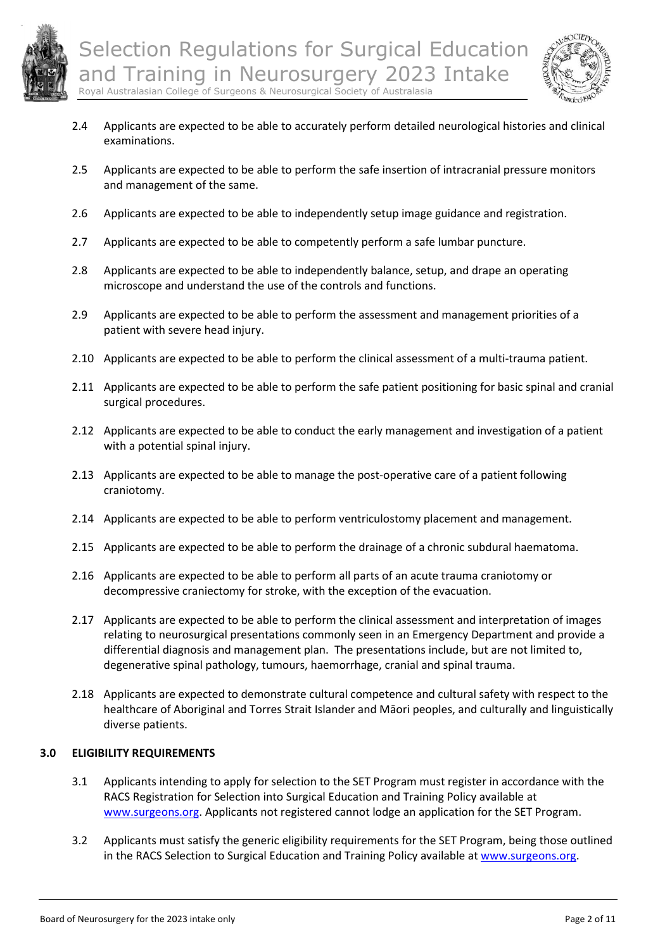



- 2.4 Applicants are expected to be able to accurately perform detailed neurological histories and clinical examinations.
- 2.5 Applicants are expected to be able to perform the safe insertion of intracranial pressure monitors and management of the same.
- 2.6 Applicants are expected to be able to independently setup image guidance and registration.
- 2.7 Applicants are expected to be able to competently perform a safe lumbar puncture.
- 2.8 Applicants are expected to be able to independently balance, setup, and drape an operating microscope and understand the use of the controls and functions.
- 2.9 Applicants are expected to be able to perform the assessment and management priorities of a patient with severe head injury.
- 2.10 Applicants are expected to be able to perform the clinical assessment of a multi-trauma patient.
- 2.11 Applicants are expected to be able to perform the safe patient positioning for basic spinal and cranial surgical procedures.
- 2.12 Applicants are expected to be able to conduct the early management and investigation of a patient with a potential spinal injury.
- 2.13 Applicants are expected to be able to manage the post-operative care of a patient following craniotomy.
- 2.14 Applicants are expected to be able to perform ventriculostomy placement and management.
- 2.15 Applicants are expected to be able to perform the drainage of a chronic subdural haematoma.
- 2.16 Applicants are expected to be able to perform all parts of an acute trauma craniotomy or decompressive craniectomy for stroke, with the exception of the evacuation.
- 2.17 Applicants are expected to be able to perform the clinical assessment and interpretation of images relating to neurosurgical presentations commonly seen in an Emergency Department and provide a differential diagnosis and management plan. The presentations include, but are not limited to, degenerative spinal pathology, tumours, haemorrhage, cranial and spinal trauma.
- 2.18 Applicants are expected to demonstrate cultural competence and cultural safety with respect to the healthcare of Aboriginal and Torres Strait Islander and Māori peoples, and culturally and linguistically diverse patients.

### **3.0 ELIGIBILITY REQUIREMENTS**

- 3.1 Applicants intending to apply for selection to the SET Program must register in accordance with the RACS Registration for Selection into Surgical Education and Training Policy available at [www.surgeons.org.](http://www.surgeons.org/) Applicants not registered cannot lodge an application for the SET Program.
- 3.2 Applicants must satisfy the generic eligibility requirements for the SET Program, being those outlined in the RACS Selection to Surgical Education and Training Policy available at [www.surgeons.org.](http://www.surgeons.org/)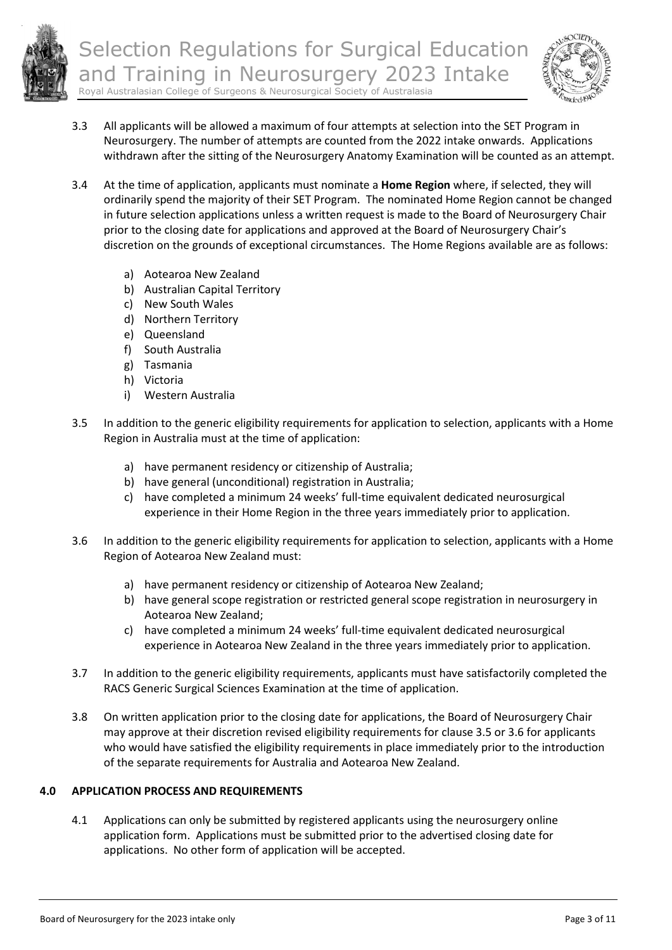

- 3.3 All applicants will be allowed a maximum of four attempts at selection into the SET Program in Neurosurgery. The number of attempts are counted from the 2022 intake onwards. Applications withdrawn after the sitting of the Neurosurgery Anatomy Examination will be counted as an attempt.
- 3.4 At the time of application, applicants must nominate a **Home Region** where, if selected, they will ordinarily spend the majority of their SET Program. The nominated Home Region cannot be changed in future selection applications unless a written request is made to the Board of Neurosurgery Chair prior to the closing date for applications and approved at the Board of Neurosurgery Chair's discretion on the grounds of exceptional circumstances. The Home Regions available are as follows:
	- a) Aotearoa New Zealand
	- b) Australian Capital Territory
	- c) New South Wales
	- d) Northern Territory
	- e) Queensland
	- f) South Australia
	- g) Tasmania
	- h) Victoria
	- i) Western Australia
- 3.5 In addition to the generic eligibility requirements for application to selection, applicants with a Home Region in Australia must at the time of application:
	- a) have permanent residency or citizenship of Australia;
	- b) have general (unconditional) registration in Australia;
	- c) have completed a minimum 24 weeks' full-time equivalent dedicated neurosurgical experience in their Home Region in the three years immediately prior to application.
- 3.6 In addition to the generic eligibility requirements for application to selection, applicants with a Home Region of Aotearoa New Zealand must:
	- a) have permanent residency or citizenship of Aotearoa New Zealand;
	- b) have general scope registration or restricted general scope registration in neurosurgery in Aotearoa New Zealand;
	- c) have completed a minimum 24 weeks' full-time equivalent dedicated neurosurgical experience in Aotearoa New Zealand in the three years immediately prior to application.
- 3.7 In addition to the generic eligibility requirements, applicants must have satisfactorily completed the RACS Generic Surgical Sciences Examination at the time of application.
- 3.8 On written application prior to the closing date for applications, the Board of Neurosurgery Chair may approve at their discretion revised eligibility requirements for clause 3.5 or 3.6 for applicants who would have satisfied the eligibility requirements in place immediately prior to the introduction of the separate requirements for Australia and Aotearoa New Zealand.

# **4.0 APPLICATION PROCESS AND REQUIREMENTS**

4.1 Applications can only be submitted by registered applicants using the neurosurgery online application form. Applications must be submitted prior to the advertised closing date for applications. No other form of application will be accepted.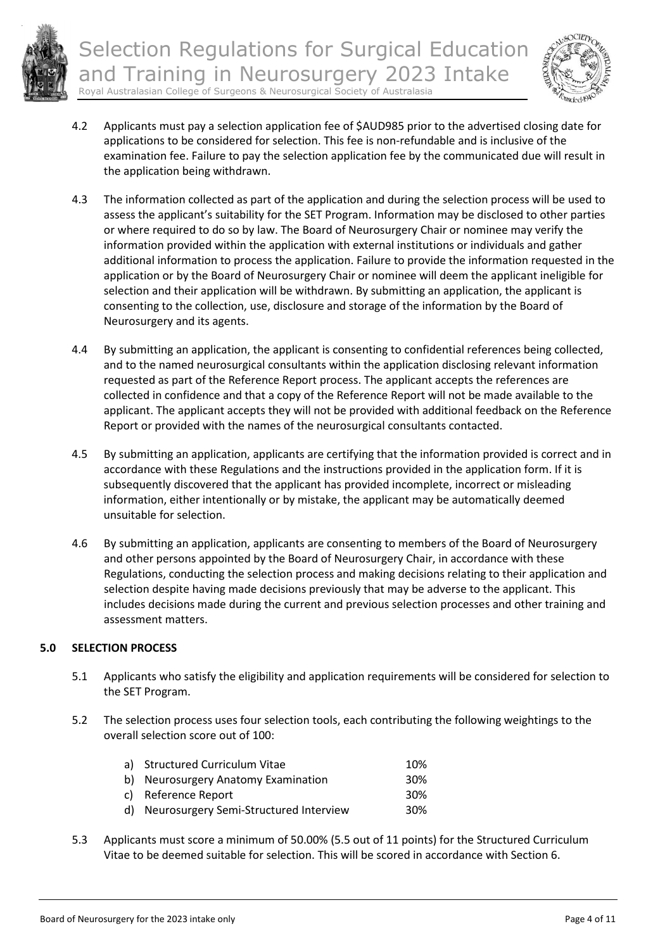



- 4.2 Applicants must pay a selection application fee of \$AUD985 prior to the advertised closing date for applications to be considered for selection. This fee is non-refundable and is inclusive of the examination fee. Failure to pay the selection application fee by the communicated due will result in the application being withdrawn.
- 4.3 The information collected as part of the application and during the selection process will be used to assess the applicant's suitability for the SET Program. Information may be disclosed to other parties or where required to do so by law. The Board of Neurosurgery Chair or nominee may verify the information provided within the application with external institutions or individuals and gather additional information to process the application. Failure to provide the information requested in the application or by the Board of Neurosurgery Chair or nominee will deem the applicant ineligible for selection and their application will be withdrawn. By submitting an application, the applicant is consenting to the collection, use, disclosure and storage of the information by the Board of Neurosurgery and its agents.
- 4.4 By submitting an application, the applicant is consenting to confidential references being collected, and to the named neurosurgical consultants within the application disclosing relevant information requested as part of the Reference Report process. The applicant accepts the references are collected in confidence and that a copy of the Reference Report will not be made available to the applicant. The applicant accepts they will not be provided with additional feedback on the Reference Report or provided with the names of the neurosurgical consultants contacted.
- 4.5 By submitting an application, applicants are certifying that the information provided is correct and in accordance with these Regulations and the instructions provided in the application form. If it is subsequently discovered that the applicant has provided incomplete, incorrect or misleading information, either intentionally or by mistake, the applicant may be automatically deemed unsuitable for selection.
- 4.6 By submitting an application, applicants are consenting to members of the Board of Neurosurgery and other persons appointed by the Board of Neurosurgery Chair, in accordance with these Regulations, conducting the selection process and making decisions relating to their application and selection despite having made decisions previously that may be adverse to the applicant. This includes decisions made during the current and previous selection processes and other training and assessment matters.

# **5.0 SELECTION PROCESS**

- 5.1 Applicants who satisfy the eligibility and application requirements will be considered for selection to the SET Program.
- 5.2 The selection process uses four selection tools, each contributing the following weightings to the overall selection score out of 100:

| 10%             |
|-----------------|
| 30 <sup>%</sup> |
| 30 <sup>%</sup> |
| 30 <sup>%</sup> |
|                 |

5.3 Applicants must score a minimum of 50.00% (5.5 out of 11 points) for the Structured Curriculum Vitae to be deemed suitable for selection. This will be scored in accordance with Section 6.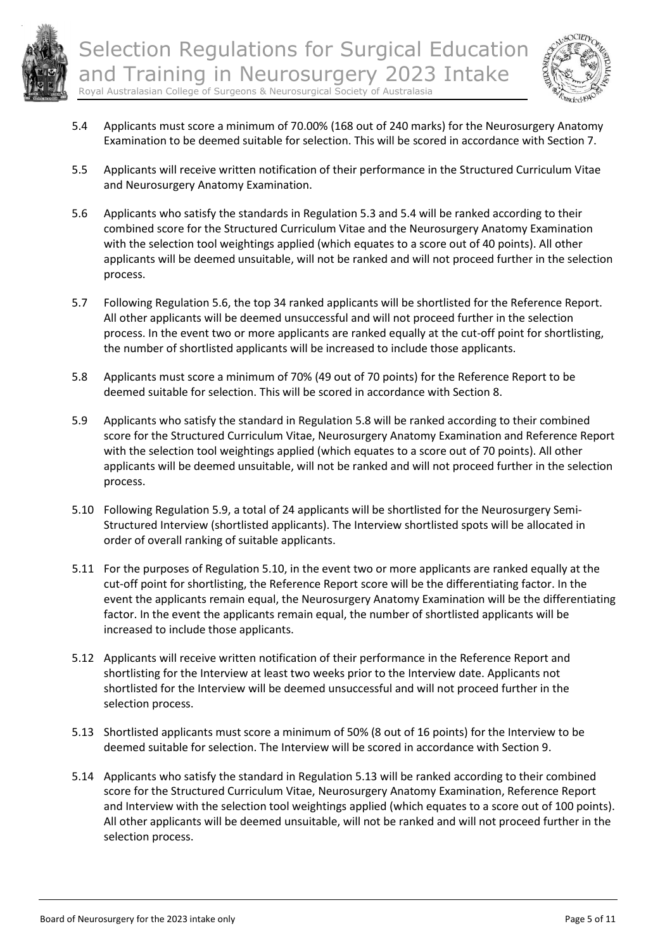



- 5.4 Applicants must score a minimum of 70.00% (168 out of 240 marks) for the Neurosurgery Anatomy Examination to be deemed suitable for selection. This will be scored in accordance with Section 7.
- 5.5 Applicants will receive written notification of their performance in the Structured Curriculum Vitae and Neurosurgery Anatomy Examination.
- 5.6 Applicants who satisfy the standards in Regulation 5.3 and 5.4 will be ranked according to their combined score for the Structured Curriculum Vitae and the Neurosurgery Anatomy Examination with the selection tool weightings applied (which equates to a score out of 40 points). All other applicants will be deemed unsuitable, will not be ranked and will not proceed further in the selection process.
- 5.7 Following Regulation 5.6, the top 34 ranked applicants will be shortlisted for the Reference Report. All other applicants will be deemed unsuccessful and will not proceed further in the selection process. In the event two or more applicants are ranked equally at the cut-off point for shortlisting, the number of shortlisted applicants will be increased to include those applicants.
- 5.8 Applicants must score a minimum of 70% (49 out of 70 points) for the Reference Report to be deemed suitable for selection. This will be scored in accordance with Section 8.
- 5.9 Applicants who satisfy the standard in Regulation 5.8 will be ranked according to their combined score for the Structured Curriculum Vitae, Neurosurgery Anatomy Examination and Reference Report with the selection tool weightings applied (which equates to a score out of 70 points). All other applicants will be deemed unsuitable, will not be ranked and will not proceed further in the selection process.
- 5.10 Following Regulation 5.9, a total of 24 applicants will be shortlisted for the Neurosurgery Semi-Structured Interview (shortlisted applicants). The Interview shortlisted spots will be allocated in order of overall ranking of suitable applicants.
- 5.11 For the purposes of Regulation 5.10, in the event two or more applicants are ranked equally at the cut-off point for shortlisting, the Reference Report score will be the differentiating factor. In the event the applicants remain equal, the Neurosurgery Anatomy Examination will be the differentiating factor. In the event the applicants remain equal, the number of shortlisted applicants will be increased to include those applicants.
- 5.12 Applicants will receive written notification of their performance in the Reference Report and shortlisting for the Interview at least two weeks prior to the Interview date. Applicants not shortlisted for the Interview will be deemed unsuccessful and will not proceed further in the selection process.
- 5.13 Shortlisted applicants must score a minimum of 50% (8 out of 16 points) for the Interview to be deemed suitable for selection. The Interview will be scored in accordance with Section 9.
- 5.14 Applicants who satisfy the standard in Regulation 5.13 will be ranked according to their combined score for the Structured Curriculum Vitae, Neurosurgery Anatomy Examination, Reference Report and Interview with the selection tool weightings applied (which equates to a score out of 100 points). All other applicants will be deemed unsuitable, will not be ranked and will not proceed further in the selection process.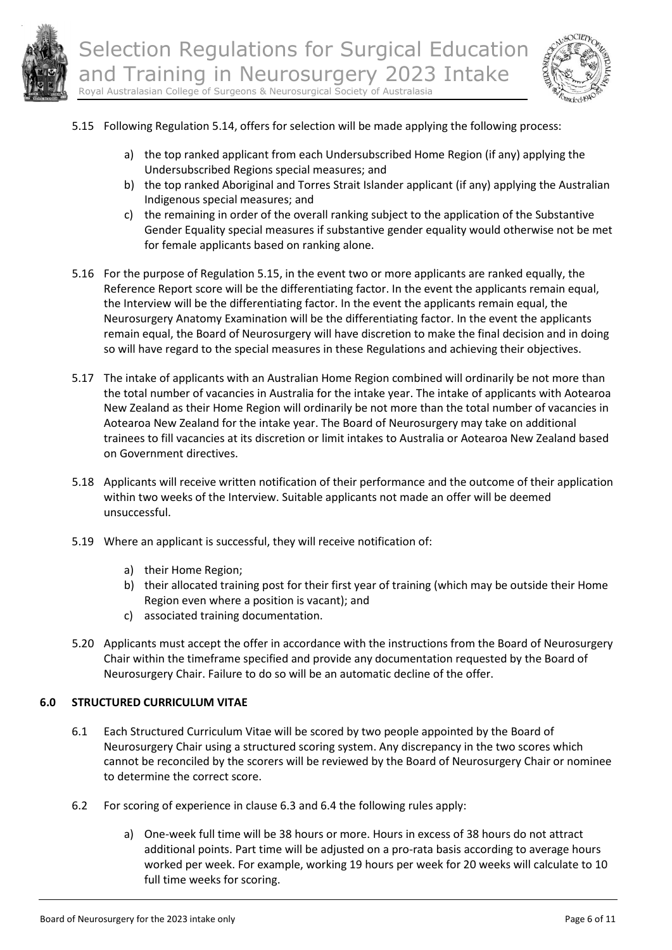



- 5.15 Following Regulation 5.14, offers for selection will be made applying the following process:
	- a) the top ranked applicant from each Undersubscribed Home Region (if any) applying the Undersubscribed Regions special measures; and
	- b) the top ranked Aboriginal and Torres Strait Islander applicant (if any) applying the Australian Indigenous special measures; and
	- c) the remaining in order of the overall ranking subject to the application of the Substantive Gender Equality special measures if substantive gender equality would otherwise not be met for female applicants based on ranking alone.
- 5.16 For the purpose of Regulation 5.15, in the event two or more applicants are ranked equally, the Reference Report score will be the differentiating factor. In the event the applicants remain equal, the Interview will be the differentiating factor. In the event the applicants remain equal, the Neurosurgery Anatomy Examination will be the differentiating factor. In the event the applicants remain equal, the Board of Neurosurgery will have discretion to make the final decision and in doing so will have regard to the special measures in these Regulations and achieving their objectives.
- 5.17 The intake of applicants with an Australian Home Region combined will ordinarily be not more than the total number of vacancies in Australia for the intake year. The intake of applicants with Aotearoa New Zealand as their Home Region will ordinarily be not more than the total number of vacancies in Aotearoa New Zealand for the intake year. The Board of Neurosurgery may take on additional trainees to fill vacancies at its discretion or limit intakes to Australia or Aotearoa New Zealand based on Government directives.
- 5.18 Applicants will receive written notification of their performance and the outcome of their application within two weeks of the Interview. Suitable applicants not made an offer will be deemed unsuccessful.
- 5.19 Where an applicant is successful, they will receive notification of:
	- a) their Home Region;
	- b) their allocated training post for their first year of training (which may be outside their Home Region even where a position is vacant); and
	- c) associated training documentation.
- 5.20 Applicants must accept the offer in accordance with the instructions from the Board of Neurosurgery Chair within the timeframe specified and provide any documentation requested by the Board of Neurosurgery Chair. Failure to do so will be an automatic decline of the offer.

### **6.0 STRUCTURED CURRICULUM VITAE**

- 6.1 Each Structured Curriculum Vitae will be scored by two people appointed by the Board of Neurosurgery Chair using a structured scoring system. Any discrepancy in the two scores which cannot be reconciled by the scorers will be reviewed by the Board of Neurosurgery Chair or nominee to determine the correct score.
- 6.2 For scoring of experience in clause 6.3 and 6.4 the following rules apply:
	- a) One-week full time will be 38 hours or more. Hours in excess of 38 hours do not attract additional points. Part time will be adjusted on a pro-rata basis according to average hours worked per week. For example, working 19 hours per week for 20 weeks will calculate to 10 full time weeks for scoring.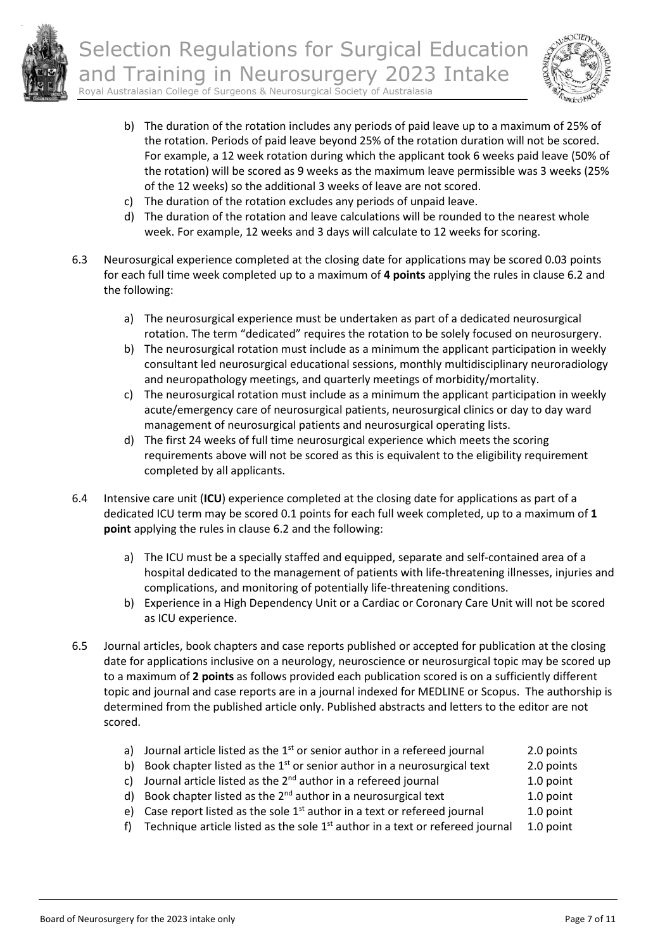

Selection Regulations for Surgical Education and Training in Neurosurgery 2023 Intake





- b) The duration of the rotation includes any periods of paid leave up to a maximum of 25% of the rotation. Periods of paid leave beyond 25% of the rotation duration will not be scored. For example, a 12 week rotation during which the applicant took 6 weeks paid leave (50% of the rotation) will be scored as 9 weeks as the maximum leave permissible was 3 weeks (25% of the 12 weeks) so the additional 3 weeks of leave are not scored.
- c) The duration of the rotation excludes any periods of unpaid leave.
- d) The duration of the rotation and leave calculations will be rounded to the nearest whole week. For example, 12 weeks and 3 days will calculate to 12 weeks for scoring.
- 6.3 Neurosurgical experience completed at the closing date for applications may be scored 0.03 points for each full time week completed up to a maximum of **4 points** applying the rules in clause 6.2 and the following:
	- a) The neurosurgical experience must be undertaken as part of a dedicated neurosurgical rotation. The term "dedicated" requires the rotation to be solely focused on neurosurgery.
	- b) The neurosurgical rotation must include as a minimum the applicant participation in weekly consultant led neurosurgical educational sessions, monthly multidisciplinary neuroradiology and neuropathology meetings, and quarterly meetings of morbidity/mortality.
	- c) The neurosurgical rotation must include as a minimum the applicant participation in weekly acute/emergency care of neurosurgical patients, neurosurgical clinics or day to day ward management of neurosurgical patients and neurosurgical operating lists.
	- d) The first 24 weeks of full time neurosurgical experience which meets the scoring requirements above will not be scored as this is equivalent to the eligibility requirement completed by all applicants.
- 6.4 Intensive care unit (**ICU**) experience completed at the closing date for applications as part of a dedicated ICU term may be scored 0.1 points for each full week completed, up to a maximum of **1 point** applying the rules in clause 6.2 and the following:
	- a) The ICU must be a specially staffed and equipped, separate and self-contained area of a hospital dedicated to the management of patients with life-threatening illnesses, injuries and complications, and monitoring of potentially life-threatening conditions.
	- b) Experience in a High Dependency Unit or a Cardiac or Coronary Care Unit will not be scored as ICU experience.
- 6.5 Journal articles, book chapters and case reports published or accepted for publication at the closing date for applications inclusive on a neurology, neuroscience or neurosurgical topic may be scored up to a maximum of **2 points** as follows provided each publication scored is on a sufficiently different topic and journal and case reports are in a journal indexed for MEDLINE or Scopus. The authorship is determined from the published article only. Published abstracts and letters to the editor are not scored.
	- a) Journal article listed as the  $1<sup>st</sup>$  or senior author in a refereed journal 2.0 points
	- b) Book chapter listed as the  $1<sup>st</sup>$  or senior author in a neurosurgical text 2.0 points
	- c) Journal article listed as the  $2^{nd}$  author in a refereed journal 1.0 point
	- d) Book chapter listed as the  $2^{nd}$  author in a neurosurgical text  $1.0$  point
	- e) Case report listed as the sole  $1<sup>st</sup>$  author in a text or refereed journal 1.0 point
	- f) Technique article listed as the sole  $1<sup>st</sup>$  author in a text or refereed journal 1.0 point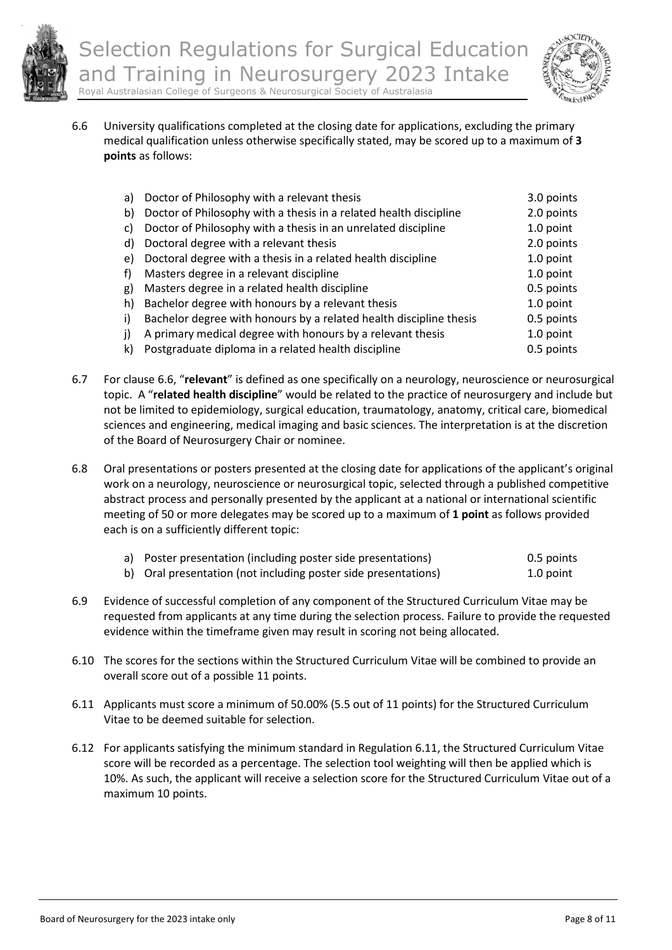



6.6 University qualifications completed at the closing date for applications, excluding the primary medical qualification unless otherwise specifically stated, may be scored up to a maximum of **3 points** as follows:

| a) | Doctor of Philosophy with a relevant thesis                        | 3.0 points |
|----|--------------------------------------------------------------------|------------|
| b) | Doctor of Philosophy with a thesis in a related health discipline  | 2.0 points |
| C) | Doctor of Philosophy with a thesis in an unrelated discipline      | 1.0 point  |
| d) | Doctoral degree with a relevant thesis                             | 2.0 points |
| e) | Doctoral degree with a thesis in a related health discipline       | 1.0 point  |
| f) | Masters degree in a relevant discipline                            | 1.0 point  |
| g) | Masters degree in a related health discipline                      | 0.5 points |
| h) | Bachelor degree with honours by a relevant thesis                  | 1.0 point  |
| i) | Bachelor degree with honours by a related health discipline thesis | 0.5 points |
| j) | A primary medical degree with honours by a relevant thesis         | 1.0 point  |
| k) | Postgraduate diploma in a related health discipline                | 0.5 points |

- 6.7 For clause 6.6, "**relevant**" is defined as one specifically on a neurology, neuroscience or neurosurgical topic. A "**related health discipline**" would be related to the practice of neurosurgery and include but not be limited to epidemiology, surgical education, traumatology, anatomy, critical care, biomedical sciences and engineering, medical imaging and basic sciences. The interpretation is at the discretion of the Board of Neurosurgery Chair or nominee.
- 6.8 Oral presentations or posters presented at the closing date for applications of the applicant's original work on a neurology, neuroscience or neurosurgical topic, selected through a published competitive abstract process and personally presented by the applicant at a national or international scientific meeting of 50 or more delegates may be scored up to a maximum of **1 point** as follows provided each is on a sufficiently different topic:

| a) Poster presentation (including poster side presentations)   | 0.5 points |
|----------------------------------------------------------------|------------|
| b) Oral presentation (not including poster side presentations) | 1.0 point  |

- 6.9 Evidence of successful completion of any component of the Structured Curriculum Vitae may be requested from applicants at any time during the selection process. Failure to provide the requested evidence within the timeframe given may result in scoring not being allocated.
- 6.10 The scores for the sections within the Structured Curriculum Vitae will be combined to provide an overall score out of a possible 11 points.
- 6.11 Applicants must score a minimum of 50.00% (5.5 out of 11 points) for the Structured Curriculum Vitae to be deemed suitable for selection.
- 6.12 For applicants satisfying the minimum standard in Regulation 6.11, the Structured Curriculum Vitae score will be recorded as a percentage. The selection tool weighting will then be applied which is 10%. As such, the applicant will receive a selection score for the Structured Curriculum Vitae out of a maximum 10 points.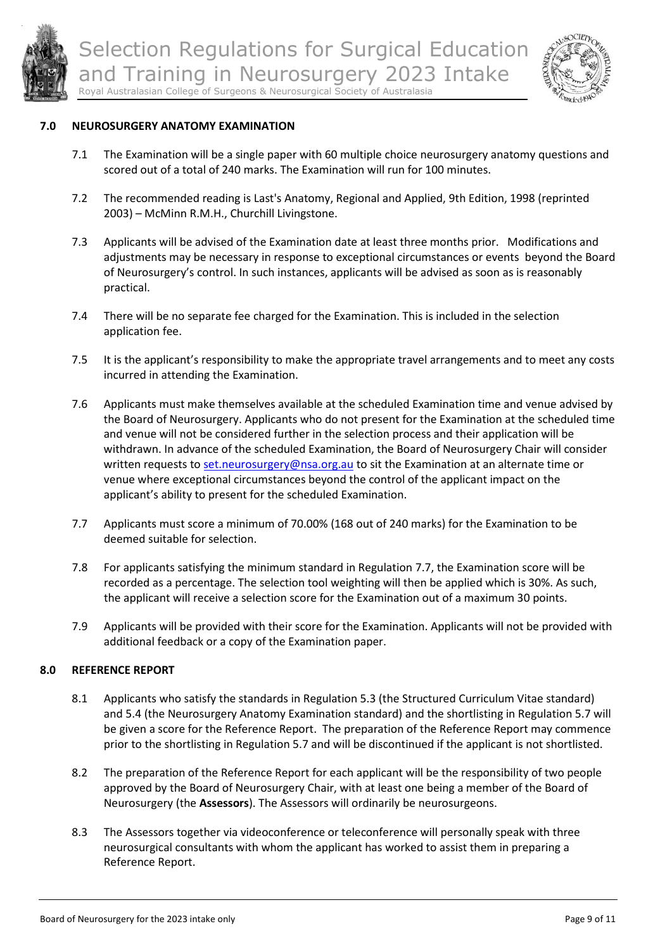



#### **7.0 NEUROSURGERY ANATOMY EXAMINATION**

- 7.1 The Examination will be a single paper with 60 multiple choice neurosurgery anatomy questions and scored out of a total of 240 marks. The Examination will run for 100 minutes.
- 7.2 The recommended reading is Last's Anatomy, Regional and Applied, 9th Edition, 1998 (reprinted 2003) – McMinn R.M.H., Churchill Livingstone.
- 7.3 Applicants will be advised of the Examination date at least three months prior. Modifications and adjustments may be necessary in response to exceptional circumstances or events beyond the Board of Neurosurgery's control. In such instances, applicants will be advised as soon as is reasonably practical.
- 7.4 There will be no separate fee charged for the Examination. This is included in the selection application fee.
- 7.5 It is the applicant's responsibility to make the appropriate travel arrangements and to meet any costs incurred in attending the Examination.
- 7.6 Applicants must make themselves available at the scheduled Examination time and venue advised by the Board of Neurosurgery. Applicants who do not present for the Examination at the scheduled time and venue will not be considered further in the selection process and their application will be withdrawn. In advance of the scheduled Examination, the Board of Neurosurgery Chair will consider written requests to [set.neurosurgery@nsa.org.au](mailto:set.neurosurgery@nsa.org.au) to sit the Examination at an alternate time or venue where exceptional circumstances beyond the control of the applicant impact on the applicant's ability to present for the scheduled Examination.
- 7.7 Applicants must score a minimum of 70.00% (168 out of 240 marks) for the Examination to be deemed suitable for selection.
- 7.8 For applicants satisfying the minimum standard in Regulation 7.7, the Examination score will be recorded as a percentage. The selection tool weighting will then be applied which is 30%. As such, the applicant will receive a selection score for the Examination out of a maximum 30 points.
- 7.9 Applicants will be provided with their score for the Examination. Applicants will not be provided with additional feedback or a copy of the Examination paper.

### **8.0 REFERENCE REPORT**

- 8.1 Applicants who satisfy the standards in Regulation 5.3 (the Structured Curriculum Vitae standard) and 5.4 (the Neurosurgery Anatomy Examination standard) and the shortlisting in Regulation 5.7 will be given a score for the Reference Report. The preparation of the Reference Report may commence prior to the shortlisting in Regulation 5.7 and will be discontinued if the applicant is not shortlisted.
- 8.2 The preparation of the Reference Report for each applicant will be the responsibility of two people approved by the Board of Neurosurgery Chair, with at least one being a member of the Board of Neurosurgery (the **Assessors**). The Assessors will ordinarily be neurosurgeons.
- 8.3 The Assessors together via videoconference or teleconference will personally speak with three neurosurgical consultants with whom the applicant has worked to assist them in preparing a Reference Report.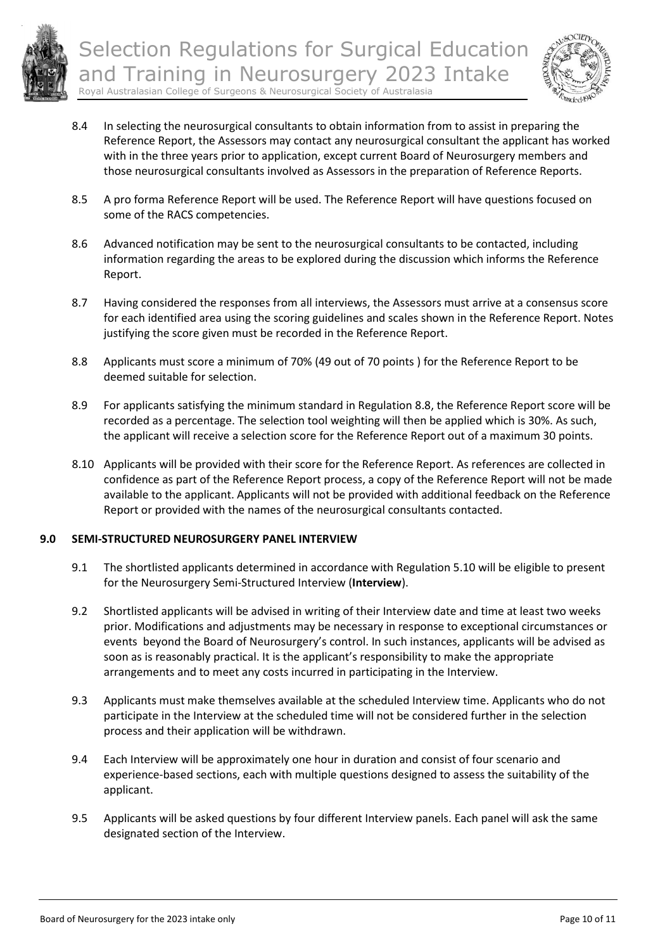



- 8.4 In selecting the neurosurgical consultants to obtain information from to assist in preparing the Reference Report, the Assessors may contact any neurosurgical consultant the applicant has worked with in the three years prior to application, except current Board of Neurosurgery members and those neurosurgical consultants involved as Assessors in the preparation of Reference Reports.
- 8.5 A pro forma Reference Report will be used. The Reference Report will have questions focused on some of the RACS competencies.
- 8.6 Advanced notification may be sent to the neurosurgical consultants to be contacted, including information regarding the areas to be explored during the discussion which informs the Reference Report.
- 8.7 Having considered the responses from all interviews, the Assessors must arrive at a consensus score for each identified area using the scoring guidelines and scales shown in the Reference Report. Notes justifying the score given must be recorded in the Reference Report.
- 8.8 Applicants must score a minimum of 70% (49 out of 70 points ) for the Reference Report to be deemed suitable for selection.
- 8.9 For applicants satisfying the minimum standard in Regulation 8.8, the Reference Report score will be recorded as a percentage. The selection tool weighting will then be applied which is 30%. As such, the applicant will receive a selection score for the Reference Report out of a maximum 30 points.
- 8.10 Applicants will be provided with their score for the Reference Report. As references are collected in confidence as part of the Reference Report process, a copy of the Reference Report will not be made available to the applicant. Applicants will not be provided with additional feedback on the Reference Report or provided with the names of the neurosurgical consultants contacted.

### **9.0 SEMI-STRUCTURED NEUROSURGERY PANEL INTERVIEW**

- 9.1 The shortlisted applicants determined in accordance with Regulation 5.10 will be eligible to present for the Neurosurgery Semi-Structured Interview (**Interview**).
- 9.2 Shortlisted applicants will be advised in writing of their Interview date and time at least two weeks prior. Modifications and adjustments may be necessary in response to exceptional circumstances or events beyond the Board of Neurosurgery's control. In such instances, applicants will be advised as soon as is reasonably practical. It is the applicant's responsibility to make the appropriate arrangements and to meet any costs incurred in participating in the Interview.
- 9.3 Applicants must make themselves available at the scheduled Interview time. Applicants who do not participate in the Interview at the scheduled time will not be considered further in the selection process and their application will be withdrawn.
- 9.4 Each Interview will be approximately one hour in duration and consist of four scenario and experience-based sections, each with multiple questions designed to assess the suitability of the applicant.
- 9.5 Applicants will be asked questions by four different Interview panels. Each panel will ask the same designated section of the Interview.